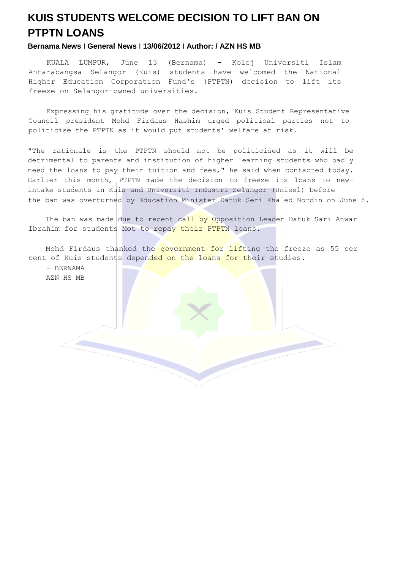## **KUIS STUDENTS WELCOME DECISION TO LIFT BAN ON PTPTN LOANS**

## **Bernama News** I **General News** I **13/06/2012** I **Author: / AZN HS MB**

KUALA LUMPUR, June 13 (Bernama) - Kolej Universiti Islam Antarabangsa SeLangor (Kuis) students have welcomed the National Higher Education Corporation Fund's (PTPTN) decision to lift its freeze on Selangor-owned universities.

Expressing his gratitude over the decision, Kuis Student Representative Council president Mohd Firdaus Hashim urged political parties not to politicise the PTPTN as it would put students' welfare at risk.

"The rationale is the PTPTN should not be politicised as it will be detrimental to parents and institution of higher learning students who badly need the loans to pay their tuition and fees," he said when contacted today. Earlier this month, PTPTN made the decision to freeze its loans to newintake students in Kuis and Universiti Industri Selangor (Unisel) before the ban was overturned by Education Minister Datuk Seri Khaled Nordin on June 8.

The ban was made due to recent call by Opposition Leader Datuk Sari Anwar Ibrahim for students Mot to repay their PTPTN loans.

Mohd Firdaus thanked the government for lifting the freeze as 55 per cent of Kuis students depended on the loans for their studies.

- BERNAMA AZN HS MB